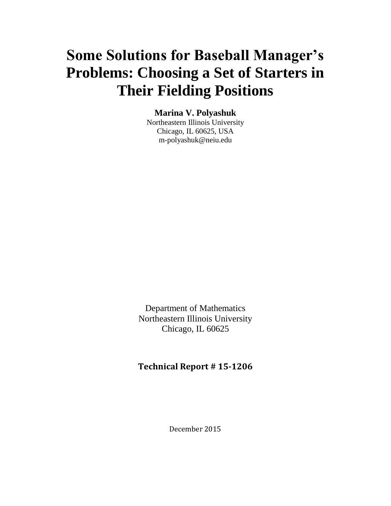# **Some Solutions for Baseball Manager's Problems: Choosing a Set of Starters in Their Fielding Positions**

# **Marina V. Polyashuk**

Northeastern Illinois University Chicago, IL 60625, USA m-polyashuk@neiu.edu

Department of Mathematics Northeastern Illinois University Chicago, IL 60625

# **Technical Report # 15-1206**

December 2015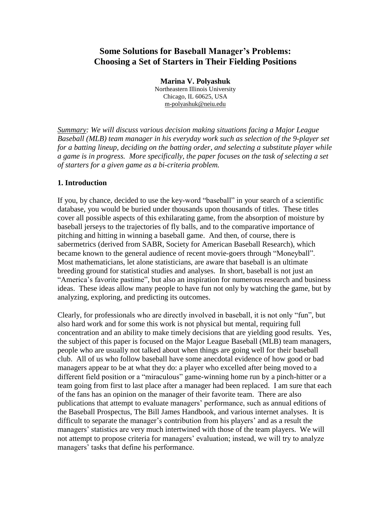# **Some Solutions for Baseball Manager's Problems: Choosing a Set of Starters in Their Fielding Positions**

**Marina V. Polyashuk** Northeastern Illinois University Chicago, IL 60625, USA m-polyashuk@neiu.edu

*Summary: We will discuss various decision making situations facing a Major League Baseball (MLB) team manager in his everyday work such as selection of the 9-player set for a batting lineup, deciding on the batting order, and selecting a substitute player while a game is in progress. More specifically, the paper focuses on the task of selecting a set of starters for a given game as a bi-criteria problem.*

### **1. Introduction**

If you, by chance, decided to use the key-word "baseball" in your search of a scientific database, you would be buried under thousands upon thousands of titles. These titles cover all possible aspects of this exhilarating game, from the absorption of moisture by baseball jerseys to the trajectories of fly balls, and to the comparative importance of pitching and hitting in winning a baseball game. And then, of course, there is sabermetrics (derived from SABR, Society for American Baseball Research), which became known to the general audience of recent movie-goers through "Moneyball". Most mathematicians, let alone statisticians, are aware that baseball is an ultimate breeding ground for statistical studies and analyses. In short, baseball is not just an "America's favorite pastime", but also an inspiration for numerous research and business ideas. These ideas allow many people to have fun not only by watching the game, but by analyzing, exploring, and predicting its outcomes.

Clearly, for professionals who are directly involved in baseball, it is not only "fun", but also hard work and for some this work is not physical but mental, requiring full concentration and an ability to make timely decisions that are yielding good results. Yes, the subject of this paper is focused on the Major League Baseball (MLB) team managers, people who are usually not talked about when things are going well for their baseball club. All of us who follow baseball have some anecdotal evidence of how good or bad managers appear to be at what they do: a player who excelled after being moved to a different field position or a "miraculous" game-winning home run by a pinch-hitter or a team going from first to last place after a manager had been replaced. I am sure that each of the fans has an opinion on the manager of their favorite team. There are also publications that attempt to evaluate managers' performance, such as annual editions of the Baseball Prospectus, The Bill James Handbook, and various internet analyses. It is difficult to separate the manager's contribution from his players' and as a result the managers' statistics are very much intertwined with those of the team players. We will not attempt to propose criteria for managers' evaluation; instead, we will try to analyze managers' tasks that define his performance.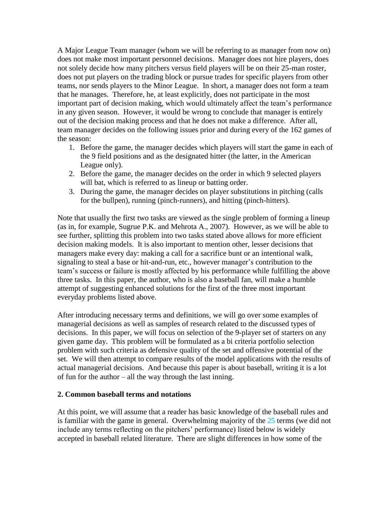A Major League Team manager (whom we will be referring to as manager from now on) does not make most important personnel decisions. Manager does not hire players, does not solely decide how many pitchers versus field players will be on their 25-man roster, does not put players on the trading block or pursue trades for specific players from other teams, nor sends players to the Minor League. In short, a manager does not form a team that he manages. Therefore, he, at least explicitly, does not participate in the most important part of decision making, which would ultimately affect the team's performance in any given season. However, it would be wrong to conclude that manager is entirely out of the decision making process and that he does not make a difference. After all, team manager decides on the following issues prior and during every of the 162 games of the season:

- 1. Before the game, the manager decides which players will start the game in each of the 9 field positions and as the designated hitter (the latter, in the American League only).
- 2. Before the game, the manager decides on the order in which 9 selected players will bat, which is referred to as lineup or batting order.
- 3. During the game, the manager decides on player substitutions in pitching (calls for the bullpen), running (pinch-runners), and hitting (pinch-hitters).

Note that usually the first two tasks are viewed as the single problem of forming a lineup (as in, for example, Sugrue P.K. and Mehrota A., 2007). However, as we will be able to see further, splitting this problem into two tasks stated above allows for more efficient decision making models. It is also important to mention other, lesser decisions that managers make every day: making a call for a sacrifice bunt or an intentional walk, signaling to steal a base or hit-and-run, etc., however manager's contribution to the team's success or failure is mostly affected by his performance while fulfilling the above three tasks. In this paper, the author, who is also a baseball fan, will make a humble attempt of suggesting enhanced solutions for the first of the three most important everyday problems listed above.

After introducing necessary terms and definitions, we will go over some examples of managerial decisions as well as samples of research related to the discussed types of decisions. In this paper, we will focus on selection of the 9-player set of starters on any given game day. This problem will be formulated as a bi criteria portfolio selection problem with such criteria as defensive quality of the set and offensive potential of the set. We will then attempt to compare results of the model applications with the results of actual managerial decisions. And because this paper is about baseball, writing it is a lot of fun for the author – all the way through the last inning.

#### **2. Common baseball terms and notations**

At this point, we will assume that a reader has basic knowledge of the baseball rules and is familiar with the game in general. Overwhelming majority of the  $25$  terms (we did not include any terms reflecting on the pitchers' performance) listed below is widely accepted in baseball related literature. There are slight differences in how some of the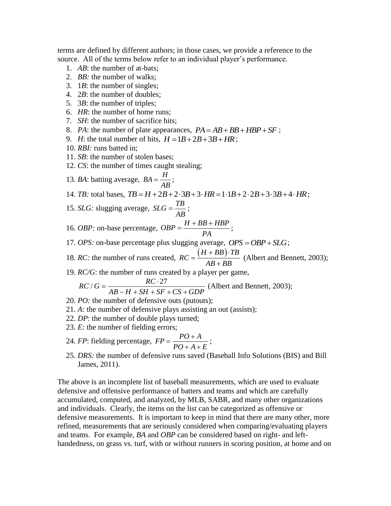terms are defined by different authors; in those cases, we provide a reference to the source. All of the terms below refer to an individual player's performance.

- 1. *AB*: the number of at-bats;
- 2. *BB:* the number of walks;
- 3. 1*B*: the number of singles;
- 4. 2*B*: the number of doubles;
- 5. 3*B*: the number of triples;
- 6. *HR*: the number of home runs;
- 7. *SH*: the number of sacrifice hits;
- 8. *PA*: the number of plate appearances,  $PA = AB + BB + HBP + SF$ ;
- 9. *H*: the total number of hits,  $H = 1B + 2B + 3B + HR$ ;
- 10. *RBI:* runs batted in;
- 11. *SB*: the number of stolen bases;
- 12. *CS*: the number of times caught stealing;
- 13. *BA*: batting average,  $BA = \frac{H}{A}$ *AB*  $=\frac{H}{1}$ ;

13. *BA*: *batting average*, 
$$
BA = \frac{H}{AB}
$$
;  
14. *TB*: total bases,  $TB = H + 2B + 2 \cdot 3B + 3 \cdot HR = 1 \cdot 1B + 2 \cdot 2B + 3 \cdot 3B + 4 \cdot HR$ ;

- 15. *SLG*: slugging average,  $SLG = \frac{TB}{\sqrt{B}}$ *AB*  $=\frac{1}{12};$
- 16. *OBP*: on-base percentage,  $OBP = \frac{H + BB + HBP}{P}$ *PA*  $=\frac{H+BB+HBP}{P}$ ;
- 17. *OPS*: on-base percentage plus slugging average,  $OPS = OBP + SLG$ ;
- 18. *RC*: the number of runs created,  $RC = \frac{(H + BB) \cdot TB}{AB + BB}$  $=\frac{(H+BB)\cdot TB}{\sqrt{1-\frac{1}{2}}\cdot T}$  $\ddot{}$ (Albert and Bennett, 2003);
- $R \cap R$

19. *RC/G*: the number of runs created by a player per game,  

$$
RC / G = \frac{RC \cdot 27}{AB - H + SH + SF + CS + GDP}
$$
 (Albert and Bennett, 2003);

- 20. *PO:* the number of defensive outs (putouts);
- 21. *A:* the number of defensive plays assisting an out (assists);
- 22. *DP*: the number of double plays turned;
- 23. *E:* the number of fielding errors;
- 24. *FP*: fielding percentage,  $FP = \frac{PO + A}{PQ}$  $PO + A + E$  $=\frac{PO+A}{PO+A+E};$
- 25. *DRS:* the number of defensive runs saved (Baseball Info Solutions (BIS) and Bill James, 2011).

The above is an incomplete list of baseball measurements, which are used to evaluate defensive and offensive performance of batters and teams and which are carefully accumulated, computed, and analyzed, by MLB, SABR, and many other organizations and individuals. Clearly, the items on the list can be categorized as offensive or defensive measurements. It is important to keep in mind that there are many other, more refined, measurements that are seriously considered when comparing/evaluating players and teams. For example, *BA* and *OBP* can be considered based on right- and lefthandedness, on grass vs. turf, with or without runners in scoring position, at home and on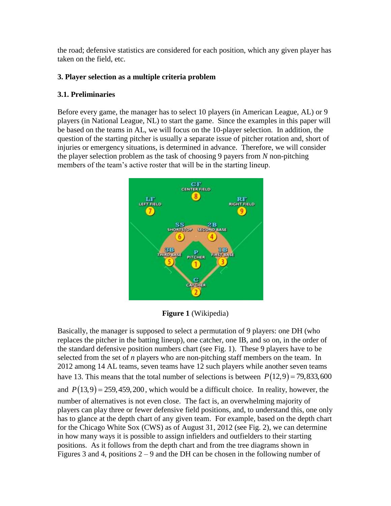the road; defensive statistics are considered for each position, which any given player has taken on the field, etc.

## **3. Player selection as a multiple criteria problem**

## **3.1. Preliminaries**

Before every game, the manager has to select 10 players (in American League, AL) or 9 players (in National League, NL) to start the game. Since the examples in this paper will be based on the teams in AL, we will focus on the 10-player selection. In addition, the question of the starting pitcher is usually a separate issue of pitcher rotation and, short of injuries or emergency situations, is determined in advance. Therefore, we will consider the player selection problem as the task of choosing 9 payers from *N* non-pitching members of the team's active roster that will be in the starting lineup.



**Figure 1** (Wikipedia)

Basically, the manager is supposed to select a permutation of 9 players: one DH (who replaces the pitcher in the batting lineup), one catcher, one IB, and so on, in the order of the standard defensive position numbers chart (see Fig. 1). These 9 players have to be selected from the set of *n* players who are non-pitching staff members on the team. In 2012 among 14 AL teams, seven teams have 12 such players while another seven teams have 13. This means that the total number of selections is between  $P(12,9) = 79,833,600$ and  $P(13,9) = 259,459,200$ , which would be a difficult choice. In reality, however, the number of alternatives is not even close. The fact is, an overwhelming majority of players can play three or fewer defensive field positions, and, to understand this, one only has to glance at the depth chart of any given team. For example, based on the depth chart for the Chicago White Sox (CWS) as of August 31, 2012 (see Fig. 2), we can determine in how many ways it is possible to assign infielders and outfielders to their starting positions. As it follows from the depth chart and from the tree diagrams shown in Figures 3 and 4, positions  $2 - 9$  and the DH can be chosen in the following number of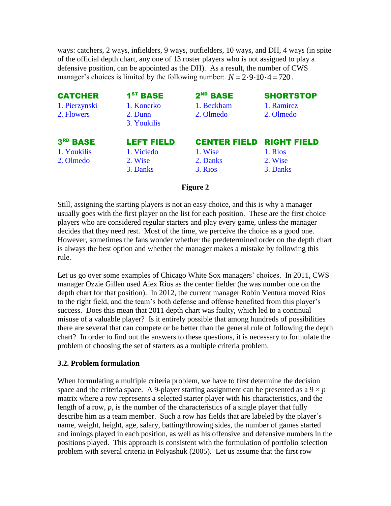ways: catchers, 2 ways, infielders, 9 ways, outfielders, 10 ways, and DH, 4 ways (in spite of the official depth chart, any one of 13 roster players who is not assigned to play a defensive position, can be appointed as the DH). As a result, the number of CWS manager's choices is limited by the following number:  $N = 2.9 \cdot 10 \cdot 4 = 720$ .

| <b>CATCHER</b>       | $1ST$ BASE        | $2ND$ BASE          | <b>SHORTSTOP</b>   |
|----------------------|-------------------|---------------------|--------------------|
| 1. Pierzynski        | 1. Konerko        | 1. Beckham          | 1. Ramirez         |
| 2. Flowers           | 2. Dunn           | 2. Olmedo           | 2. Olmedo          |
|                      | 3. Youkilis       |                     |                    |
| 3 <sup>RD</sup> BASE | <b>LEFT FIELD</b> | <b>CENTER FIELD</b> | <b>RIGHT FIELD</b> |
| 1. Youkilis          | 1. Viciedo        | 1. Wise             | 1. Rios            |
| 2. Olmedo            | 2. Wise           | 2. Danks            | 2. Wise            |
|                      | 3. Danks          | 3. Rios             | 3. Danks           |

#### **Figure 2**

Still, assigning the starting players is not an easy choice, and this is why a manager usually goes with the first player on the list for each position. These are the first choice players who are considered regular starters and play every game, unless the manager decides that they need rest. Most of the time, we perceive the choice as a good one. However, sometimes the fans wonder whether the predetermined order on the depth chart is always the best option and whether the manager makes a mistake by following this rule.

Let us go over some examples of Chicago White Sox managers' choices. In 2011, CWS manager Ozzie Gillen used Alex Rios as the center fielder (he was number one on the depth chart for that position). In 2012, the current manager Robin Ventura moved Rios to the right field, and the team's both defense and offense benefited from this player's success. Does this mean that 2011 depth chart was faulty, which led to a continual misuse of a valuable player? Is it entirely possible that among hundreds of possibilities there are several that can compete or be better than the general rule of following the depth chart? In order to find out the answers to these questions, it is necessary to formulate the problem of choosing the set of starters as a multiple criteria problem.

#### **3.2. Problem for**m**ulation**

When formulating a multiple criteria problem, we have to first determine the decision space and the criteria space. A 9-player starting assignment can be presented as a  $9 \times p$ matrix where a row represents a selected starter player with his characteristics, and the length of a row,  $p$ , is the number of the characteristics of a single player that fully describe him as a team member. Such a row has fields that are labeled by the player's name, weight, height, age, salary, batting/throwing sides, the number of games started and innings played in each position, as well as his offensive and defensive numbers in the positions played. This approach is consistent with the formulation of portfolio selection problem with several criteria in Polyashuk (2005). Let us assume that the first row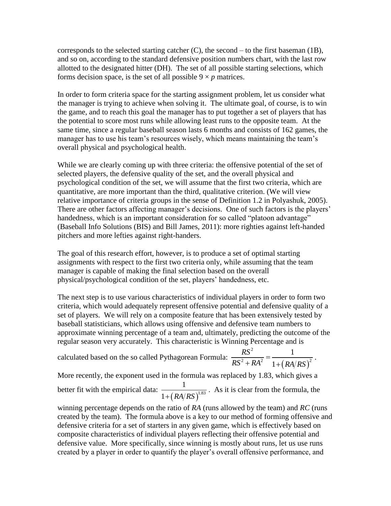corresponds to the selected starting catcher  $(C)$ , the second – to the first baseman  $(1B)$ , and so on, according to the standard defensive position numbers chart, with the last row allotted to the designated hitter (DH). The set of all possible starting selections, which forms decision space, is the set of all possible  $9 \times p$  matrices.

In order to form criteria space for the starting assignment problem, let us consider what the manager is trying to achieve when solving it. The ultimate goal, of course, is to win the game, and to reach this goal the manager has to put together a set of players that has the potential to score most runs while allowing least runs to the opposite team. At the same time, since a regular baseball season lasts 6 months and consists of 162 games, the manager has to use his team's resources wisely, which means maintaining the team's overall physical and psychological health.

While we are clearly coming up with three criteria: the offensive potential of the set of selected players, the defensive quality of the set, and the overall physical and psychological condition of the set, we will assume that the first two criteria, which are quantitative, are more important than the third, qualitative criterion. (We will view relative importance of criteria groups in the sense of Definition 1.2 in Polyashuk, 2005). There are other factors affecting manager's decisions. One of such factors is the players' handedness, which is an important consideration for so called "platoon advantage" (Baseball Info Solutions (BIS) and Bill James, 2011): more righties against left-handed pitchers and more lefties against right-handers.

The goal of this research effort, however, is to produce a set of optimal starting assignments with respect to the first two criteria only, while assuming that the team manager is capable of making the final selection based on the overall physical/psychological condition of the set, players' handedness, etc.

The next step is to use various characteristics of individual players in order to form two criteria, which would adequately represent offensive potential and defensive quality of a set of players. We will rely on a composite feature that has been extensively tested by baseball statisticians, which allows using offensive and defensive team numbers to approximate winning percentage of a team and, ultimately, predicting the outcome of the regular season very accurately. This characteristic is Winning Percentage and is

calculated based on the so called Pythagorean Formula:  $\left(RA/RS\right)^{\cdot}$ 2  $\frac{1}{2^2 + RA^2} = \frac{1}{1 + (DA/BC)^2}$ 1 1 *RS*  $rac{RS^2 + RA^2}{RS^2 + RA^2} = \frac{1}{1 + (RA/RS)}$  $+RA^2$  1+ .

More recently, the exponent used in the formula was replaced by 1.83, which gives a better fit with the empirical data:  $\left(RA/RS\right)^{1.83}$ 1  $1 + (RA/RS)$ . As it is clear from the formula, the

winning percentage depends on the ratio of *RA* (runs allowed by the team) and *RC* (runs created by the team). The formula above is a key to our method of forming offensive and defensive criteria for a set of starters in any given game, which is effectively based on composite characteristics of individual players reflecting their offensive potential and defensive value. More specifically, since winning is mostly about runs, let us use runs created by a player in order to quantify the player's overall offensive performance, and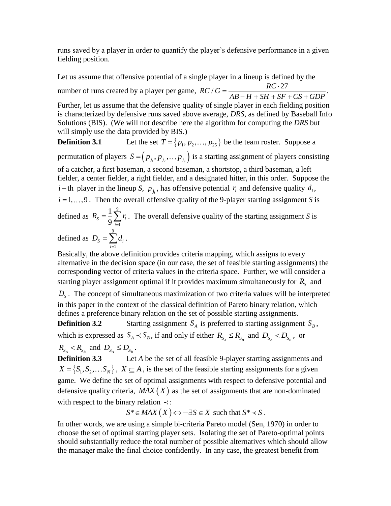runs saved by a player in order to quantify the player's defensive performance in a given fielding position.

Let us assume that offensive potential of a single player in a lineup is defined by the Let us assume that offensive potential of a single player in a lineup is defined<br>number of runs created by a player per game,  $RC/G = \frac{RC \cdot 27}{4R - H + SH + SF}$  $=\frac{RC \cdot 27}{AB - H + SH + SF + CS + GDP}$  $\frac{RC \cdot 27}{-H + SH + SF + CS + GDP}$ . Further, let us assume that the defensive quality of single player in each fielding position is characterized by defensive runs saved above average, *DRS*, as defined by Baseball Info Solutions (BIS). (We will not describe here the algorithm for computing the *DRS* but will simply use the data provided by BIS.) **Definition 3.1**  $T = \{p_1, p_2, \dots, p_{25}\}\)$  be the team roster. Suppose a

permutation of players  $S = (p_{j_1}, p_{j_2}, \dots, p_{j_9})$  is a starting assignment of players consisting of a catcher, a first baseman, a second baseman, a shortstop, a third baseman, a left fielder, a center fielder, a right fielder, and a designated hitter, in this order. Suppose the *i* – th player in the lineup *S*,  $p_{j_i}$ , has offensive potential  $r_i$  and defensive quality  $d_i$ ,  $i = 1, \ldots, 9$ . Then the overall offensive quality of the 9-player starting assignment *S* is 9

defined as 1 1  $s - 9 \sum_{i=1}^{\infty}$ *i*  $R_{\rm s} = \frac{1}{s} \sum r_i$  $=\frac{1}{9}\sum_{i=1}^{9} r_i$ . The overall defensive quality of the starting assignment *S* is

defined as 9 1  $s = \sum u_i$ *i*  $D_{s} = \sum d$  $=\sum_{i=1}^{n}d_i$ .

Basically, the above definition provides criteria mapping, which assigns to every alternative in the decision space (in our case, the set of feasible starting assignments) the corresponding vector of criteria values in the criteria space. Further, we will consider a starting player assignment optimal if it provides maximum simultaneously for  $R<sub>S</sub>$  and

 $D<sub>s</sub>$ . The concept of simultaneous maximization of two criteria values will be interpreted in this paper in the context of the classical definition of Pareto binary relation, which defines a preference binary relation on the set of possible starting assignments.

**Definition 3.2** Starting assignment  $S_A$  is preferred to starting assignment  $S_B$ , which is expressed as  $S_A \prec S_B$ , if and only if either  $R_{S_A} \le R_{S_B}$  and  $D_{S_A} \prec D_{S_B}$ , or

 $R_{S_A} < R_{S_B}$  and  $D_{S_A} \leq D_{S_B}$ .

**Definition 3.3** Let *A* be the set of all feasible 9-player starting assignments and  $X = \{S_1, S_2, \dots S_N\}$ ,  $X \subseteq A$ , is the set of the feasible starting assignments for a given game. We define the set of optimal assignments with respect to defensive potential and defensive quality criteria,  $MAX(X)$  as the set of assignments that are non-dominated with respect to the binary relation  $\prec$ :

 $S^* \in MAX(X) \Longleftrightarrow \neg \exists S \in X \text{ such that } S^* \prec S$ .

In other words, we are using a simple bi-criteria Pareto model (Sen, 1970) in order to choose the set of optimal starting player sets. Isolating the set of Pareto-optimal points should substantially reduce the total number of possible alternatives which should allow the manager make the final choice confidently. In any case, the greatest benefit from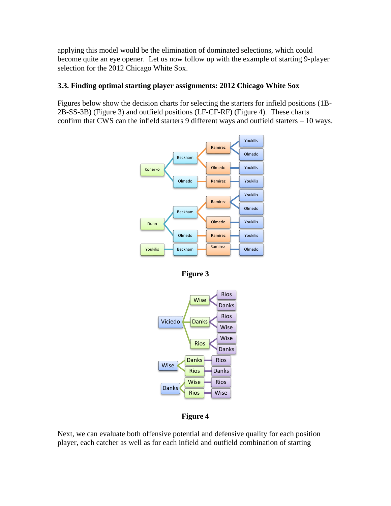applying this model would be the elimination of dominated selections, which could become quite an eye opener. Let us now follow up with the example of starting 9-player selection for the 2012 Chicago White Sox.

## **3.3. Finding optimal starting player assignments: 2012 Chicago White Sox**

Figures below show the decision charts for selecting the starters for infield positions (1B-2B-SS-3B) (Figure 3) and outfield positions (LF-CF-RF) (Figure 4). These charts confirm that CWS can the infield starters 9 different ways and outfield starters – 10 ways.



**Figure 3**



# **Figure 4**

Next, we can evaluate both offensive potential and defensive quality for each position player, each catcher as well as for each infield and outfield combination of starting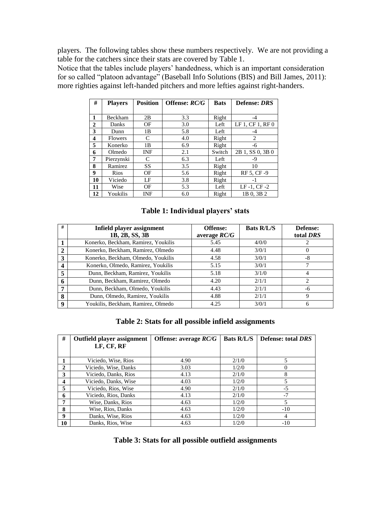players. The following tables show these numbers respectively. We are not providing a table for the catchers since their stats are covered by Table 1.

Notice that the tables include players' handedness, which is an important consideration for so called "platoon advantage" (Baseball Info Solutions (BIS) and Bill James, 2011): more righties against left-handed pitchers and more lefties against right-handers.

| #            | <b>Players</b> | <b>Position</b> | Offense: RC/G | <b>Bats</b> | Defense: DRS     |
|--------------|----------------|-----------------|---------------|-------------|------------------|
|              |                |                 |               |             |                  |
| 1            | Beckham        | 2B              | 3.3           | Right       | -4               |
| $\mathbf{2}$ | Danks          | ΟF              | 3.0           | Left        | LF 1, CF 1, RF 0 |
| 3            | Dunn           | 1B              | 5.8           | Left        | -4               |
| 4            | Flowers        | C               | 4.0           | Right       | 2                |
| 5            | Konerko        | 1B              | 6.9           | Right       | -6               |
| 6            | Olmedo         | <b>INF</b>      | 2.1           | Switch      | 2B 1, SS 0, 3B 0 |
| 7            | Pierzynski     | C               | 6.3           | Left        | -9               |
| 8            | Ramirez        | <b>SS</b>       | 3.5           | Right       | 10               |
| 9            | Rios           | OF              | 5.6           | Right       | RF 5. CF-9       |
| 10           | Viciedo        | LF              | 3.8           | Right       | $-1$             |
| 11           | Wise           | OF              | 5.3           | Left        | $LF-1$ , $CF-2$  |
| 12           | Youkilis       | <b>INF</b>      | 6.0           | Right       | 1B 0.3B 2        |

#### **Table 1: Individual players' stats**

| #            | Infield player assignment           | <b>Offense:</b> | <b>Bats R/L/S</b> | Defense:  |
|--------------|-------------------------------------|-----------------|-------------------|-----------|
|              | 1B, 2B, SS, 3B                      | average $RC/G$  |                   | total DRS |
|              | Konerko, Beckham, Ramirez, Youkilis | 5.45            | 4/0/0             |           |
| $\mathbf{2}$ | Konerko, Beckham, Ramirez, Olmedo   | 4.48            | 3/0/1             | O         |
| 3            | Konerko, Beckham, Olmedo, Youkilis  | 4.58            | 3/0/1             | -8        |
|              | Konerko, Olmedo, Ramirez, Youkilis  | 5.15            | 3/0/1             |           |
| 5            | Dunn, Beckham, Ramirez, Youkilis    | 5.18            | 3/1/0             | 4         |
|              | Dunn, Beckham, Ramirez, Olmedo      | 4.20            | 2/1/1             | ∍         |
| −            | Dunn, Beckham, Olmedo, Youkilis     | 4.43            | 2/1/1             | -6        |
| 8            | Dunn, Olmedo, Ramirez, Youkilis     | 4.88            | 2/1/1             | 9         |
| 9            | Youkilis, Beckham, Ramirez, Olmedo  | 4.25            | 3/0/1             | 6         |

#### **Table 2: Stats for all possible infield assignments**

| #            | Outfield player assignment | Offense: average $RC/G$ | <b>Bats R/L/S</b> | <b>Defense: total DRS</b> |
|--------------|----------------------------|-------------------------|-------------------|---------------------------|
|              | LF, CF, RF                 |                         |                   |                           |
|              | Viciedo, Wise, Rios        | 4.90                    | 2/1/0             | 5                         |
| $\mathbf{2}$ | Viciedo, Wise, Danks       | 3.03                    | 1/2/0             | 0                         |
| 3            | Viciedo, Danks, Rios       | 4.13                    | 2/1/0             | 8                         |
| 4            | Viciedo, Danks, Wise       | 4.03                    | 1/2/0             | 5                         |
| 5            | Viciedo, Rios, Wise        | 4.90                    | 2/1/0             | $-5$                      |
| 6            | Viciedo, Rios, Danks       | 4.13                    | 2/1/0             | $-7$                      |
| 7            | Wise, Danks, Rios          | 4.63                    | 1/2/0             | 5                         |
| 8            | Wise, Rios, Danks          | 4.63                    | 1/2/0             | $-10$                     |
| 9            | Danks, Wise, Rios          | 4.63                    | 1/2/0             | $\overline{4}$            |
| 10           | Danks, Rios, Wise          | 4.63                    | 1/2/0             | $-10$                     |

#### **Table 3: Stats for all possible outfield assignments**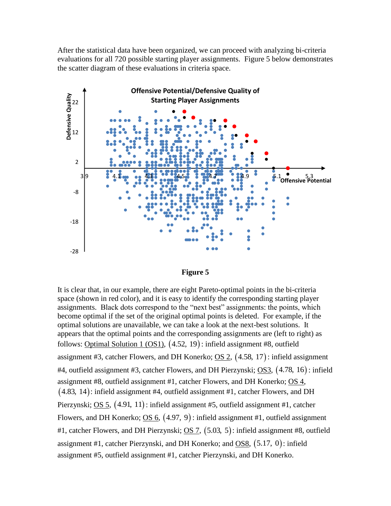After the statistical data have been organized, we can proceed with analyzing bi-criteria evaluations for all 720 possible starting player assignments. Figure 5 below demonstrates the scatter diagram of these evaluations in criteria space.





It is clear that, in our example, there are eight Pareto-optimal points in the bi-criteria space (shown in red color), and it is easy to identify the corresponding starting player assignments. Black dots correspond to the "next best" assignments: the points, which become optimal if the set of the original optimal points is deleted. For example, if the optimal solutions are unavailable, we can take a look at the next-best solutions. It appears that the optimal points and the corresponding assignments are (left to right) as follows: **Optimal Solution 1 (OS1),**  $(4.52, 19)$ **:** infield assignment #8, outfield assignment #3, catcher Flowers, and DH Konerko;  $\overline{OS}$  2,  $(4.58, 17)$ : infield assignment #4, outfield assignment #3, catcher Flowers, and DH Pierzynski; <u>OS3</u>, (4.78, 16): infield assignment #8, outfield assignment #1, catcher Flowers, and DH Konerko; OS 4, 4.83, 14 : infield assignment #4, outfield assignment #1, catcher Flowers, and DH Pierzynski; <u>OS 5</u>, (4.91, 11): infield assignment #5, outfield assignment #1, catcher Flowers, and DH Konerko;  $\underline{OS 6}$ ,  $(4.97, 9)$ : infield assignment #1, outfield assignment #1, catcher Flowers, and DH Pierzynski;  $\overline{OS 7}$ ,  $(5.03, 5)$ : infield assignment #8, outfield assignment #1, catcher Pierzynski, and DH Konerko; and  $\overline{OS8}$ ,  $(5.17, 0)$ : infield assignment #5, outfield assignment #1, catcher Pierzynski, and DH Konerko.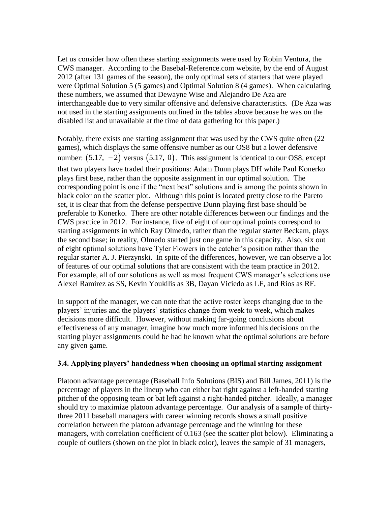Let us consider how often these starting assignments were used by Robin Ventura, the CWS manager. According to the Basebal-Reference.com website, by the end of August 2012 (after 131 games of the season), the only optimal sets of starters that were played were Optimal Solution 5 (5 games) and Optimal Solution 8 (4 games). When calculating these numbers, we assumed that Dewayne Wise and Alejandro De Aza are interchangeable due to very similar offensive and defensive characteristics. (De Aza was not used in the starting assignments outlined in the tables above because he was on the disabled list and unavailable at the time of data gathering for this paper.)

Notably, there exists one starting assignment that was used by the CWS quite often (22 games), which displays the same offensive number as our OS8 but a lower defensive number:  $(5.17, -2)$  versus  $(5.17, 0)$ . This assignment is identical to our OS8, except that two players have traded their positions: Adam Dunn plays DH while Paul Konerko plays first base, rather than the opposite assignment in our optimal solution. The corresponding point is one if the "next best" solutions and is among the points shown in black color on the scatter plot. Although this point is located pretty close to the Pareto set, it is clear that from the defense perspective Dunn playing first base should be preferable to Konerko. There are other notable differences between our findings and the CWS practice in 2012. For instance, five of eight of our optimal points correspond to starting assignments in which Ray Olmedo, rather than the regular starter Beckam, plays the second base; in reality, Olmedo started just one game in this capacity. Also, six out of eight optimal solutions have Tyler Flowers in the catcher's position rather than the regular starter A. J. Pierzynski. In spite of the differences, however, we can observe a lot of features of our optimal solutions that are consistent with the team practice in 2012. For example, all of our solutions as well as most frequent CWS manager's selections use Alexei Ramirez as SS, Kevin Youkilis as 3B, Dayan Viciedo as LF, and Rios as RF.

In support of the manager, we can note that the active roster keeps changing due to the players' injuries and the players' statistics change from week to week, which makes decisions more difficult. However, without making far-going conclusions about effectiveness of any manager, imagine how much more informed his decisions on the starting player assignments could be had he known what the optimal solutions are before any given game.

#### **3.4. Applying players' handedness when choosing an optimal starting assignment**

Platoon advantage percentage (Baseball Info Solutions (BIS) and Bill James, 2011) is the percentage of players in the lineup who can either bat right against a left-handed starting pitcher of the opposing team or bat left against a right-handed pitcher. Ideally, a manager should try to maximize platoon advantage percentage. Our analysis of a sample of thirtythree 2011 baseball managers with career winning records shows a small positive correlation between the platoon advantage percentage and the winning for these managers, with correlation coefficient of 0.163 (see the scatter plot below). Eliminating a couple of outliers (shown on the plot in black color), leaves the sample of 31 managers,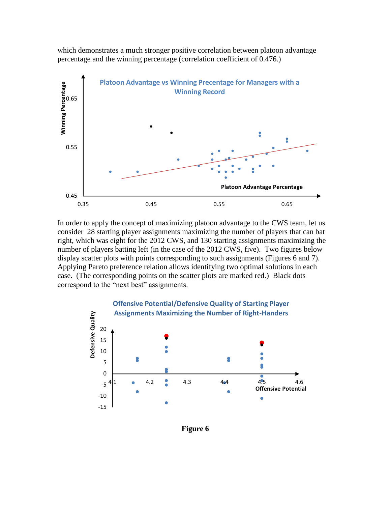which demonstrates a much stronger positive correlation between platoon advantage percentage and the winning percentage (correlation coefficient of 0.476.)



In order to apply the concept of maximizing platoon advantage to the CWS team, let us consider 28 starting player assignments maximizing the number of players that can bat right, which was eight for the 2012 CWS, and 130 starting assignments maximizing the number of players batting left (in the case of the 2012 CWS, five). Two figures below display scatter plots with points corresponding to such assignments (Figures 6 and 7). Applying Pareto preference relation allows identifying two optimal solutions in each case. (The corresponding points on the scatter plots are marked red.) Black dots correspond to the "next best" assignments.



**Figure 6**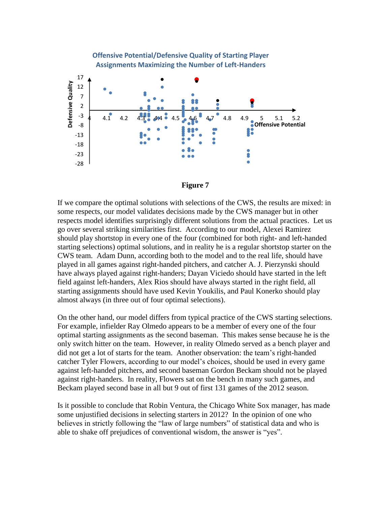



If we compare the optimal solutions with selections of the CWS, the results are mixed: in some respects, our model validates decisions made by the CWS manager but in other respects model identifies surprisingly different solutions from the actual practices. Let us go over several striking similarities first. According to our model, Alexei Ramirez should play shortstop in every one of the four (combined for both right- and left-handed starting selections) optimal solutions, and in reality he is a regular shortstop starter on the CWS team. Adam Dunn, according both to the model and to the real life, should have played in all games against right-handed pitchers, and catcher A. J. Pierzynski should have always played against right-handers; Dayan Viciedo should have started in the left field against left-handers, Alex Rios should have always started in the right field, all starting assignments should have used Kevin Youkilis, and Paul Konerko should play almost always (in three out of four optimal selections).

On the other hand, our model differs from typical practice of the CWS starting selections. For example, infielder Ray Olmedo appears to be a member of every one of the four optimal starting assignments as the second baseman. This makes sense because he is the only switch hitter on the team. However, in reality Olmedo served as a bench player and did not get a lot of starts for the team. Another observation: the team's right-handed catcher Tyler Flowers, according to our model's choices, should be used in every game against left-handed pitchers, and second baseman Gordon Beckam should not be played against right-handers. In reality, Flowers sat on the bench in many such games, and Beckam played second base in all but 9 out of first 131 games of the 2012 season.

Is it possible to conclude that Robin Ventura, the Chicago White Sox manager, has made some unjustified decisions in selecting starters in 2012? In the opinion of one who believes in strictly following the "law of large numbers" of statistical data and who is able to shake off prejudices of conventional wisdom, the answer is "yes".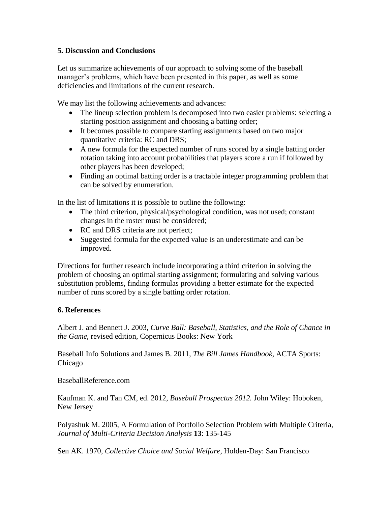#### **5. Discussion and Conclusions**

Let us summarize achievements of our approach to solving some of the baseball manager's problems, which have been presented in this paper, as well as some deficiencies and limitations of the current research.

We may list the following achievements and advances:

- The lineup selection problem is decomposed into two easier problems: selecting a starting position assignment and choosing a batting order;
- It becomes possible to compare starting assignments based on two major quantitative criteria: RC and DRS;
- A new formula for the expected number of runs scored by a single batting order rotation taking into account probabilities that players score a run if followed by other players has been developed;
- Finding an optimal batting order is a tractable integer programming problem that can be solved by enumeration.

In the list of limitations it is possible to outline the following:

- The third criterion, physical/psychological condition, was not used; constant changes in the roster must be considered;
- RC and DRS criteria are not perfect;
- Suggested formula for the expected value is an underestimate and can be improved.

Directions for further research include incorporating a third criterion in solving the problem of choosing an optimal starting assignment; formulating and solving various substitution problems, finding formulas providing a better estimate for the expected number of runs scored by a single batting order rotation.

#### **6. References**

Albert J. and Bennett J. 2003, *Curve Ball: Baseball, Statistics, and the Role of Chance in the Game*, revised edition, Copernicus Books: New York

Baseball Info Solutions and James B. 2011, *The Bill James Handbook*, ACTA Sports: Chicago

BaseballReference.com

Kaufman K. and Tan CM, ed. 2012, *Baseball Prospectus 2012.* John Wiley: Hoboken, New Jersey

Polyashuk M. 2005, A Formulation of Portfolio Selection Problem with Multiple Criteria, *Journal of Multi-Criteria Decision Analysis* **13**: 135-145

Sen AK. 1970, *Collective Choice and Social Welfare*, Holden-Day: San Francisco